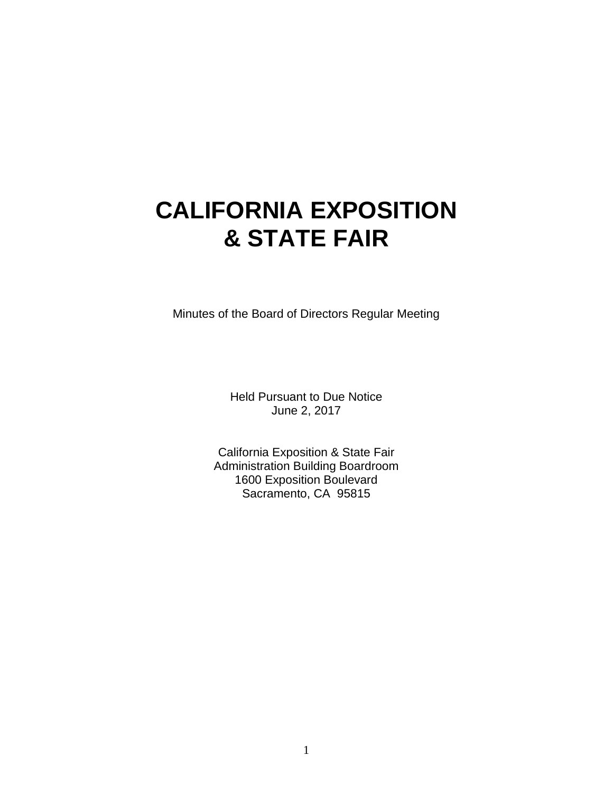# **CALIFORNIA EXPOSITION & STATE FAIR**

Minutes of the Board of Directors Regular Meeting

Held Pursuant to Due Notice June 2, 2017

California Exposition & State Fair Administration Building Boardroom 1600 Exposition Boulevard Sacramento, CA 95815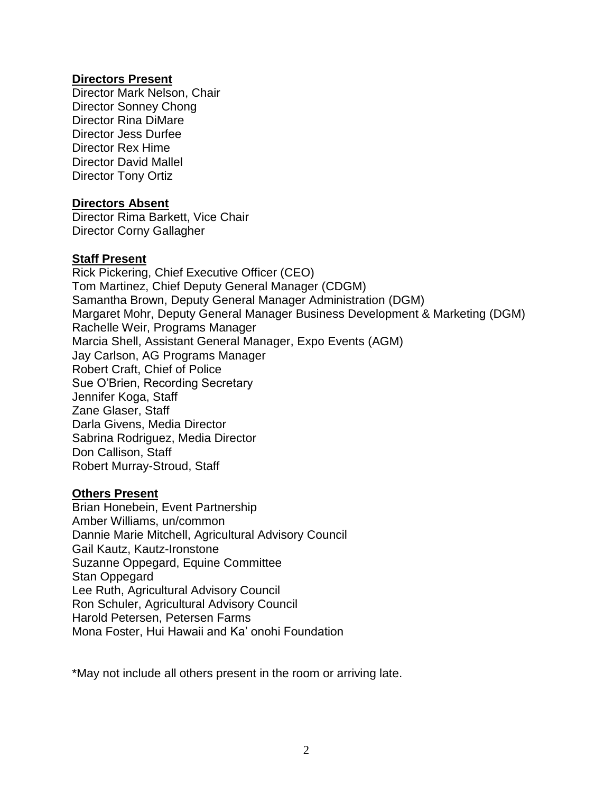## **Directors Present**

Director Mark Nelson, Chair Director Sonney Chong Director Rina DiMare Director Jess Durfee Director Rex Hime Director David Mallel Director Tony Ortiz

## **Directors Absent**

Director Rima Barkett, Vice Chair Director Corny Gallagher

## **Staff Present**

Rick Pickering, Chief Executive Officer (CEO) Tom Martinez, Chief Deputy General Manager (CDGM) Samantha Brown, Deputy General Manager Administration (DGM) Margaret Mohr, Deputy General Manager Business Development & Marketing (DGM) Rachelle Weir, Programs Manager Marcia Shell, Assistant General Manager, Expo Events (AGM) Jay Carlson, AG Programs Manager Robert Craft, Chief of Police Sue O'Brien, Recording Secretary Jennifer Koga, Staff Zane Glaser, Staff Darla Givens, Media Director Sabrina Rodriguez, Media Director Don Callison, Staff Robert Murray-Stroud, Staff

#### **Others Present**

Brian Honebein, Event Partnership Amber Williams, un/common Dannie Marie Mitchell, Agricultural Advisory Council Gail Kautz, Kautz-Ironstone Suzanne Oppegard, Equine Committee Stan Oppegard Lee Ruth, Agricultural Advisory Council Ron Schuler, Agricultural Advisory Council Harold Petersen, Petersen Farms Mona Foster, Hui Hawaii and Ka' onohi Foundation

\*May not include all others present in the room or arriving late.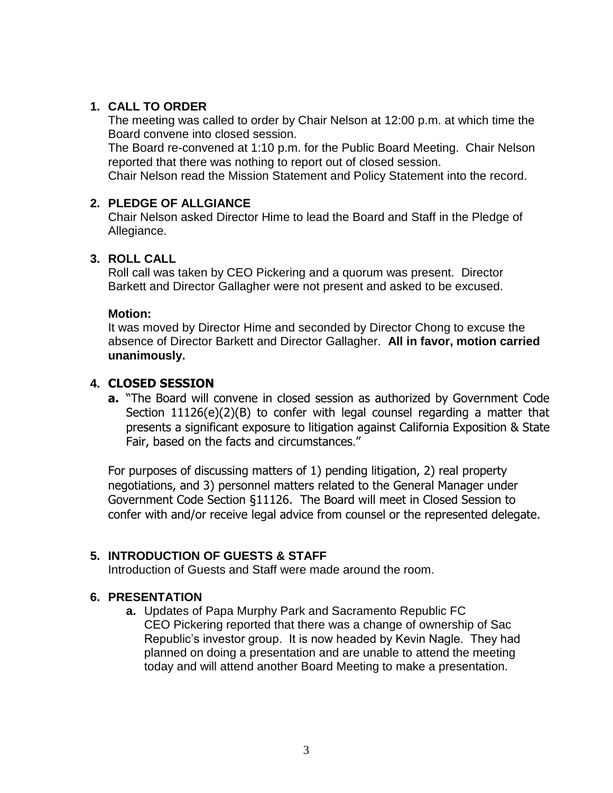# **1. CALL TO ORDER**

The meeting was called to order by Chair Nelson at 12:00 p.m. at which time the Board convene into closed session.

The Board re-convened at 1:10 p.m. for the Public Board Meeting. Chair Nelson reported that there was nothing to report out of closed session.

Chair Nelson read the Mission Statement and Policy Statement into the record.

## **2. PLEDGE OF ALLGIANCE**

Chair Nelson asked Director Hime to lead the Board and Staff in the Pledge of Allegiance.

# **3. ROLL CALL**

Roll call was taken by CEO Pickering and a quorum was present. Director Barkett and Director Gallagher were not present and asked to be excused.

## **Motion:**

It was moved by Director Hime and seconded by Director Chong to excuse the absence of Director Barkett and Director Gallagher. **All in favor, motion carried unanimously.**

## **4. CLOSED SESSION**

**a.** "The Board will convene in closed session as authorized by Government Code Section 11126(e)(2)(B) to confer with legal counsel regarding a matter that presents a significant exposure to litigation against California Exposition & State Fair, based on the facts and circumstances."

For purposes of discussing matters of 1) pending litigation, 2) real property negotiations, and 3) personnel matters related to the General Manager under Government Code Section §11126. The Board will meet in Closed Session to confer with and/or receive legal advice from counsel or the represented delegate.

# **5. INTRODUCTION OF GUESTS & STAFF**

Introduction of Guests and Staff were made around the room.

# **6. PRESENTATION**

**a.** Updates of Papa Murphy Park and Sacramento Republic FC CEO Pickering reported that there was a change of ownership of Sac Republic's investor group. It is now headed by Kevin Nagle. They had planned on doing a presentation and are unable to attend the meeting today and will attend another Board Meeting to make a presentation.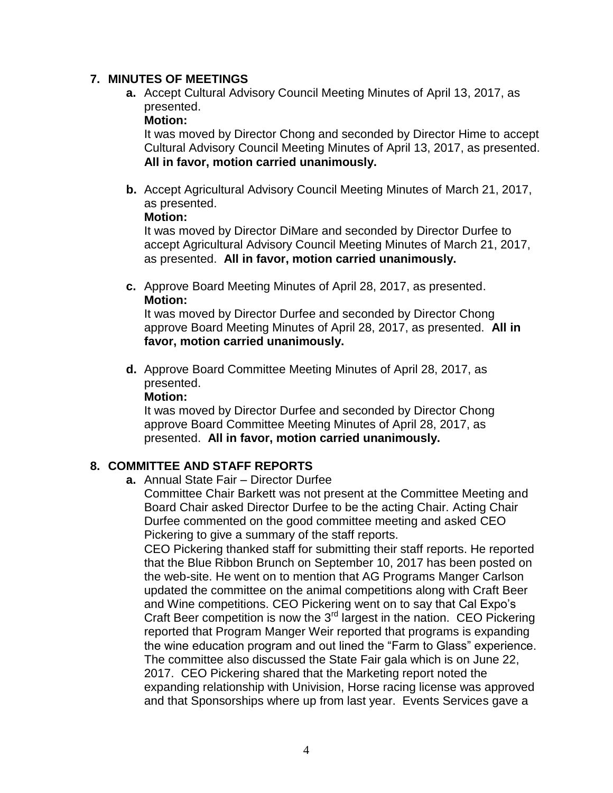## **7. MINUTES OF MEETINGS**

**a.** Accept Cultural Advisory Council Meeting Minutes of April 13, 2017, as presented.

#### **Motion:**

It was moved by Director Chong and seconded by Director Hime to accept Cultural Advisory Council Meeting Minutes of April 13, 2017, as presented. **All in favor, motion carried unanimously.**

**b.** Accept Agricultural Advisory Council Meeting Minutes of March 21, 2017, as presented.

#### **Motion:**

It was moved by Director DiMare and seconded by Director Durfee to accept Agricultural Advisory Council Meeting Minutes of March 21, 2017, as presented. **All in favor, motion carried unanimously.**

**c.** Approve Board Meeting Minutes of April 28, 2017, as presented. **Motion:**

It was moved by Director Durfee and seconded by Director Chong approve Board Meeting Minutes of April 28, 2017, as presented. **All in favor, motion carried unanimously.**

**d.** Approve Board Committee Meeting Minutes of April 28, 2017, as presented.

**Motion:**

It was moved by Director Durfee and seconded by Director Chong approve Board Committee Meeting Minutes of April 28, 2017, as presented. **All in favor, motion carried unanimously.**

## **8. COMMITTEE AND STAFF REPORTS**

**a.** Annual State Fair – Director Durfee

Committee Chair Barkett was not present at the Committee Meeting and Board Chair asked Director Durfee to be the acting Chair. Acting Chair Durfee commented on the good committee meeting and asked CEO Pickering to give a summary of the staff reports.

CEO Pickering thanked staff for submitting their staff reports. He reported that the Blue Ribbon Brunch on September 10, 2017 has been posted on the web-site. He went on to mention that AG Programs Manger Carlson updated the committee on the animal competitions along with Craft Beer and Wine competitions. CEO Pickering went on to say that Cal Expo's Craft Beer competition is now the 3<sup>rd</sup> largest in the nation. CEO Pickering reported that Program Manger Weir reported that programs is expanding the wine education program and out lined the "Farm to Glass" experience. The committee also discussed the State Fair gala which is on June 22, 2017. CEO Pickering shared that the Marketing report noted the expanding relationship with Univision, Horse racing license was approved and that Sponsorships where up from last year. Events Services gave a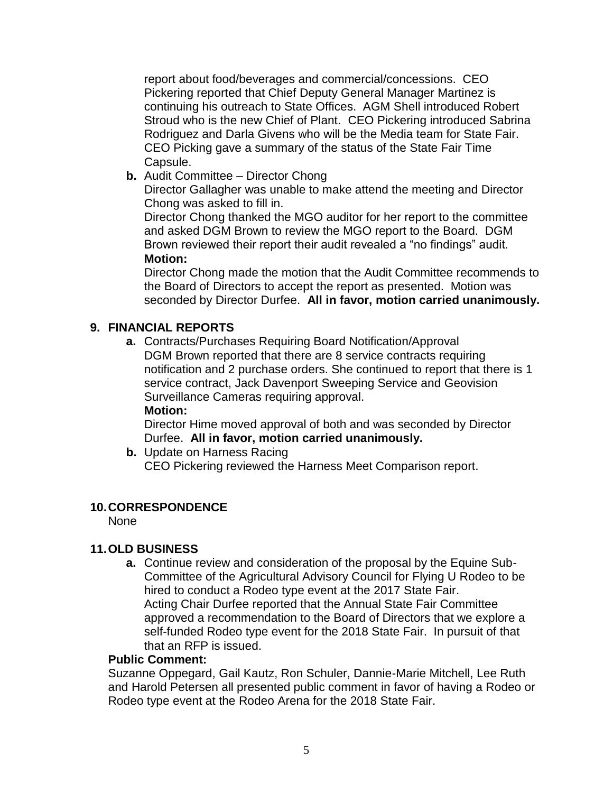report about food/beverages and commercial/concessions. CEO Pickering reported that Chief Deputy General Manager Martinez is continuing his outreach to State Offices. AGM Shell introduced Robert Stroud who is the new Chief of Plant. CEO Pickering introduced Sabrina Rodriguez and Darla Givens who will be the Media team for State Fair. CEO Picking gave a summary of the status of the State Fair Time Capsule.

**b.** Audit Committee – Director Chong

Director Gallagher was unable to make attend the meeting and Director Chong was asked to fill in.

Director Chong thanked the MGO auditor for her report to the committee and asked DGM Brown to review the MGO report to the Board. DGM Brown reviewed their report their audit revealed a "no findings" audit. **Motion:**

Director Chong made the motion that the Audit Committee recommends to the Board of Directors to accept the report as presented. Motion was seconded by Director Durfee. **All in favor, motion carried unanimously.**

# **9. FINANCIAL REPORTS**

**a.** Contracts/Purchases Requiring Board Notification/Approval DGM Brown reported that there are 8 service contracts requiring notification and 2 purchase orders. She continued to report that there is 1 service contract, Jack Davenport Sweeping Service and Geovision Surveillance Cameras requiring approval.

**Motion:**

Director Hime moved approval of both and was seconded by Director Durfee. **All in favor, motion carried unanimously.**

**b.** Update on Harness Racing CEO Pickering reviewed the Harness Meet Comparison report.

# **10.CORRESPONDENCE**

None

# **11.OLD BUSINESS**

**a.** Continue review and consideration of the proposal by the Equine Sub-Committee of the Agricultural Advisory Council for Flying U Rodeo to be hired to conduct a Rodeo type event at the 2017 State Fair. Acting Chair Durfee reported that the Annual State Fair Committee approved a recommendation to the Board of Directors that we explore a self-funded Rodeo type event for the 2018 State Fair. In pursuit of that that an RFP is issued.

## **Public Comment:**

Suzanne Oppegard, Gail Kautz, Ron Schuler, Dannie-Marie Mitchell, Lee Ruth and Harold Petersen all presented public comment in favor of having a Rodeo or Rodeo type event at the Rodeo Arena for the 2018 State Fair.